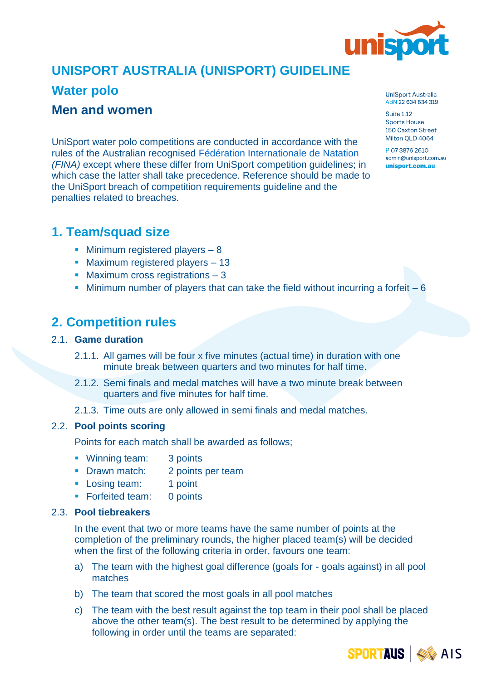

# **UNISPORT AUSTRALIA (UNISPORT) GUIDELINE**

### **Water polo**

### **Men and women**

UniSport water polo competitions are conducted in accordance with the rules of the Australian recognised [Fédération Internationale de Natation](https://www.waterpoloaustralia.com.au/info-hub/rules/) *(FINA)* except where these differ from UniSport competition quidelines; in which case the latter shall take precedence. Reference should be made to the UniSport breach of competition requirements guideline and the penalties related to breaches.

## **1. Team/squad size**

- **E** Minimum registered players 8
- Maximum registered players 13
- Maximum cross registrations 3
- **EXECUTE:** Minimum number of players that can take the field without incurring a forfeit  $-6$

## **2. Competition rules**

#### 2.1. **Game duration**

- 2.1.1. All games will be four x five minutes (actual time) in duration with one minute break between quarters and two minutes for half time.
- 2.1.2. Semi finals and medal matches will have a two minute break between quarters and five minutes for half time.
- 2.1.3. Time outs are only allowed in semi finals and medal matches.

#### 2.2. **Pool points scoring**

Points for each match shall be awarded as follows;

- Winning team: 3 points
- **Drawn match:** 2 points per team
- **Example 1 point 1 point**
- Forfeited team: 0 points

### 2.3. **Pool tiebreakers**

In the event that two or more teams have the same number of points at the completion of the preliminary rounds, the higher placed team(s) will be decided when the first of the following criteria in order, favours one team:

- a) The team with the highest goal difference (goals for goals against) in all pool matches
- b) The team that scored the most goals in all pool matches
- c) The team with the best result against the top team in their pool shall be placed above the other team(s). The best result to be determined by applying the following in order until the teams are separated:

UniSport Australia ABN 22 634 634 319

**Suite 1.12 Sports House** 150 Caxton Street Milton OLD 4064

P 07 3876 2610 admin@unisport.com.au unisport.com.au

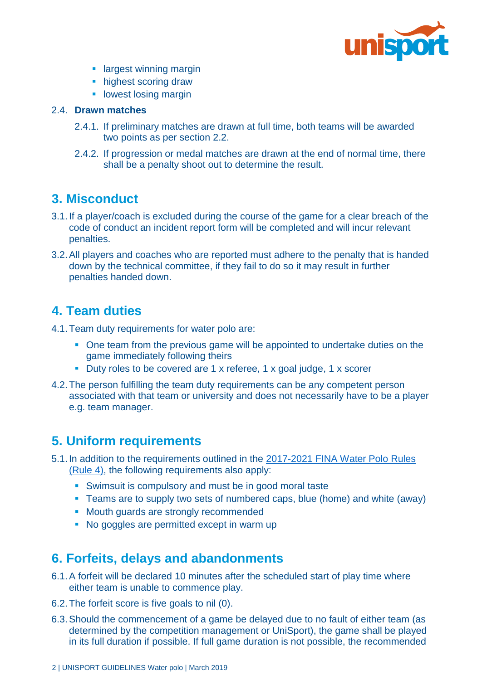

- **E** largest winning margin
- **highest scoring draw**
- **lowest losing margin**

#### 2.4. **Drawn matches**

- 2.4.1. If preliminary matches are drawn at full time, both teams will be awarded two points as per section 2.2.
- 2.4.2. If progression or medal matches are drawn at the end of normal time, there shall be a penalty shoot out to determine the result.

### **3. Misconduct**

- 3.1.If a player/coach is excluded during the course of the game for a clear breach of the code of conduct an incident report form will be completed and will incur relevant penalties.
- 3.2.All players and coaches who are reported must adhere to the penalty that is handed down by the technical committee, if they fail to do so it may result in further penalties handed down.

## **4. Team duties**

- 4.1.Team duty requirements for water polo are:
	- One team from the previous game will be appointed to undertake duties on the game immediately following theirs
	- Duty roles to be covered are 1 x referee, 1 x goal judge, 1 x scorer
- 4.2.The person fulfilling the team duty requirements can be any competent person associated with that team or university and does not necessarily have to be a player e.g. team manager.

### **5. Uniform requirements**

- 5.1.In addition to the requirements outlined in the 2017-2021 [FINA Water Polo Rules](https://www.fina.org/sites/default/files/2017_2021_wp_rules_22112017_new.pdf)  [\(Rule 4\),](https://www.fina.org/sites/default/files/2017_2021_wp_rules_22112017_new.pdf) the following requirements also apply:
	- **EXECT** Swimsuit is compulsory and must be in good moral taste
	- Teams are to supply two sets of numbered caps, blue (home) and white (away)
	- Mouth guards are strongly recommended
	- No goggles are permitted except in warm up

### **6. Forfeits, delays and abandonments**

- 6.1.A forfeit will be declared 10 minutes after the scheduled start of play time where either team is unable to commence play.
- 6.2.The forfeit score is five goals to nil (0).
- 6.3.Should the commencement of a game be delayed due to no fault of either team (as determined by the competition management or UniSport), the game shall be played in its full duration if possible. If full game duration is not possible, the recommended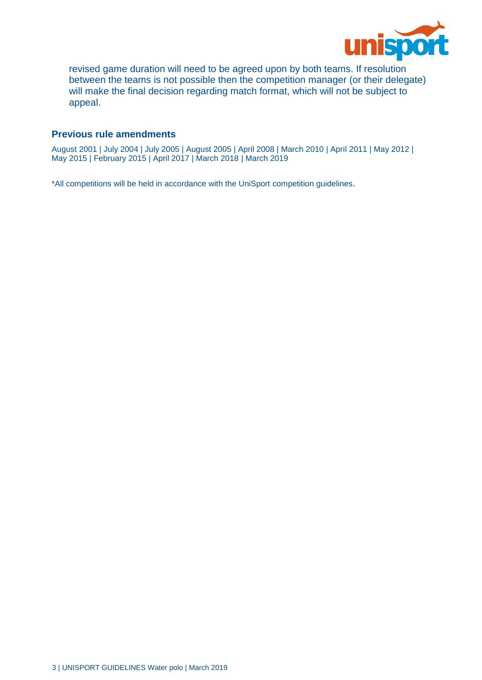

revised game duration will need to be agreed upon by both teams. If resolution between the teams is not possible then the competition manager (or their delegate) will make the final decision regarding match format, which will not be subject to appeal.

#### **Previous rule amendments**

August 2001 | July 2004 | July 2005 | August 2005 | April 2008 | March 2010 | April 2011 | May 2012 | May 2015 | February 2015 | April 2017 | March 2018 | March 2019

\*All competitions will be held in accordance with the UniSport competition guidelines.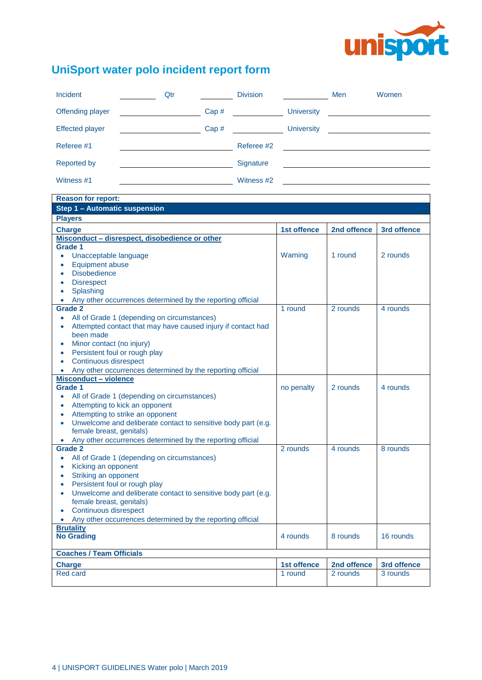

# **UniSport water polo incident report form**

| <b>Incident</b>        | Qtr                                                                                                                   |      | <b>Division</b> |                   | Men | Women                                             |
|------------------------|-----------------------------------------------------------------------------------------------------------------------|------|-----------------|-------------------|-----|---------------------------------------------------|
| Offending player       | <u> 1989 - Jan Barbara Barbara, prima prima prima prima prima prima prima prima prima prima prima prima prima pri</u> | Cap# |                 | <b>University</b> |     | <u> 1986 - John Stone, amerikansk politiker (</u> |
| <b>Effected player</b> |                                                                                                                       | Cap# |                 | <b>University</b> |     |                                                   |
| Referee #1             |                                                                                                                       |      | Referee #2      |                   |     |                                                   |
| <b>Reported by</b>     |                                                                                                                       |      | Signature       |                   |     |                                                   |
| Witness #1             |                                                                                                                       |      | Witness #2      |                   |     |                                                   |

| <b>Reason for report:</b>                                                              |             |             |             |  |  |  |
|----------------------------------------------------------------------------------------|-------------|-------------|-------------|--|--|--|
| Step 1 - Automatic suspension                                                          |             |             |             |  |  |  |
| <b>Players</b>                                                                         |             |             |             |  |  |  |
| <b>Charge</b>                                                                          | 1st offence | 2nd offence | 3rd offence |  |  |  |
| Misconduct - disrespect, disobedience or other                                         |             |             |             |  |  |  |
| Grade 1                                                                                |             |             |             |  |  |  |
| Unacceptable language<br>$\bullet$                                                     | Warning     | 1 round     | 2 rounds    |  |  |  |
| <b>Equipment abuse</b><br>$\bullet$                                                    |             |             |             |  |  |  |
| <b>Disobedience</b><br>$\bullet$                                                       |             |             |             |  |  |  |
| <b>Disrespect</b><br>$\bullet$                                                         |             |             |             |  |  |  |
| Splashing<br>$\bullet$                                                                 |             |             |             |  |  |  |
| Any other occurrences determined by the reporting official<br>$\bullet$                |             |             |             |  |  |  |
| <b>Grade 2</b>                                                                         | 1 round     | 2 rounds    | 4 rounds    |  |  |  |
| All of Grade 1 (depending on circumstances)<br>$\bullet$                               |             |             |             |  |  |  |
| Attempted contact that may have caused injury if contact had                           |             |             |             |  |  |  |
| been made                                                                              |             |             |             |  |  |  |
| Minor contact (no injury)<br>$\bullet$                                                 |             |             |             |  |  |  |
| Persistent foul or rough play<br>$\bullet$                                             |             |             |             |  |  |  |
| Continuous disrespect<br>$\bullet$                                                     |             |             |             |  |  |  |
| Any other occurrences determined by the reporting official<br>$\bullet$                |             |             |             |  |  |  |
| <b>Misconduct - violence</b>                                                           |             |             |             |  |  |  |
| Grade 1                                                                                | no penalty  | 2 rounds    | 4 rounds    |  |  |  |
| All of Grade 1 (depending on circumstances)<br>$\bullet$                               |             |             |             |  |  |  |
| Attempting to kick an opponent<br>$\bullet$                                            |             |             |             |  |  |  |
| Attempting to strike an opponent<br>$\bullet$                                          |             |             |             |  |  |  |
| Unwelcome and deliberate contact to sensitive body part (e.g.<br>$\bullet$             |             |             |             |  |  |  |
| female breast, genitals)<br>Any other occurrences determined by the reporting official |             |             |             |  |  |  |
| $\bullet$<br><b>Grade 2</b>                                                            | 2 rounds    | 4 rounds    | 8 rounds    |  |  |  |
| All of Grade 1 (depending on circumstances)<br>$\bullet$                               |             |             |             |  |  |  |
| Kicking an opponent<br>$\bullet$                                                       |             |             |             |  |  |  |
| Striking an opponent<br>۰                                                              |             |             |             |  |  |  |
| Persistent foul or rough play<br>$\bullet$                                             |             |             |             |  |  |  |
| Unwelcome and deliberate contact to sensitive body part (e.g.<br>$\bullet$             |             |             |             |  |  |  |
| female breast, genitals)                                                               |             |             |             |  |  |  |
| Continuous disrespect<br>$\bullet$                                                     |             |             |             |  |  |  |
| Any other occurrences determined by the reporting official<br>$\bullet$                |             |             |             |  |  |  |
| <b>Brutality</b>                                                                       |             |             |             |  |  |  |
| <b>No Grading</b>                                                                      | 4 rounds    | 8 rounds    | 16 rounds   |  |  |  |
|                                                                                        |             |             |             |  |  |  |
| <b>Coaches / Team Officials</b>                                                        |             |             |             |  |  |  |
| <b>Charge</b>                                                                          | 1st offence | 2nd offence | 3rd offence |  |  |  |
| <b>Red card</b>                                                                        | 1 round     | 2 rounds    | 3 rounds    |  |  |  |
|                                                                                        |             |             |             |  |  |  |